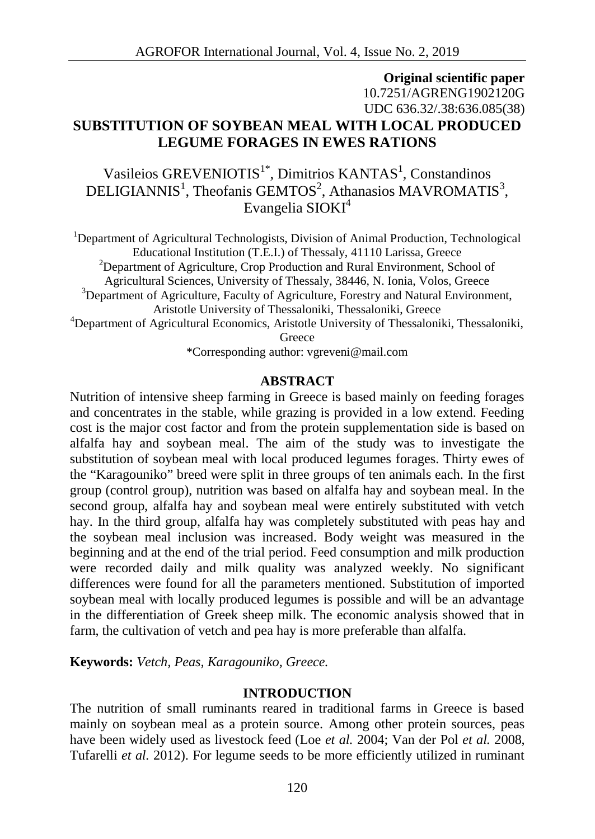# **Original scientific paper** 10.7251/AGRENG1902120G UDC 636.32/.38:636.085(38) **SUBSTITUTION OF SOYBEAN MEAL WITH LOCAL PRODUCED LEGUME FORAGES IN EWES RATIONS**

Vasileios GREVENIOTIS<sup>1\*</sup>, Dimitrios KANTAS<sup>1</sup>, Constandinos DELIGIANNIS<sup>1</sup>, Theofanis GEMTOS<sup>2</sup>, Athanasios MAVROMATIS<sup>3</sup>, Evangelia SIOKI<sup>4</sup>

<sup>1</sup>Department of Agricultural Technologists, Division of Animal Production, Technological Educational Institution (T.E.I.) of Thessaly, 41110 Larissa, Greece  $2$ Department of Agriculture, Crop Production and Rural Environment, School of Agricultural Sciences, University of Thessaly, 38446, N. Ionia, Volos, Greece <sup>3</sup>Department of Agriculture, Faculty of Agriculture, Forestry and Natural Environment, Aristotle University of Thessaloniki, Thessaloniki, Greece <sup>4</sup>Department of Agricultural Economics, Aristotle University of Thessaloniki, Thessaloniki, Greece \*Corresponding author: vgreveni@mail.com

#### **ABSTRACT**

Nutrition of intensive sheep farming in Greece is based mainly on feeding forages and concentrates in the stable, while grazing is provided in a low extend. Feeding cost is the major cost factor and from the protein supplementation side is based on alfalfa hay and soybean meal. The aim of the study was to investigate the substitution of soybean meal with local produced legumes forages. Thirty ewes of the "Karagouniko" breed were split in three groups of ten animals each. In the first group (control group), nutrition was based on alfalfa hay and soybean meal. In the second group, alfalfa hay and soybean meal were entirely substituted with vetch hay. In the third group, alfalfa hay was completely substituted with peas hay and the soybean meal inclusion was increased. Body weight was measured in the beginning and at the end of the trial period. Feed consumption and milk production were recorded daily and milk quality was analyzed weekly. No significant differences were found for all the parameters mentioned. Substitution of imported soybean meal with locally produced legumes is possible and will be an advantage in the differentiation of Greek sheep milk. The economic analysis showed that in farm, the cultivation of vetch and pea hay is more preferable than alfalfa.

**Keywords:** *Vetch, Peas, Karagouniko, Greece.*

## **INTRODUCTION**

The nutrition of small ruminants reared in traditional farms in Greece is based mainly on soybean meal as a protein source. Among other protein sources, peas have been widely used as livestock feed (Loe *et al.* 2004; Van der Pol *et al.* 2008, Tufarelli *et al.* 2012). For legume seeds to be more efficiently utilized in ruminant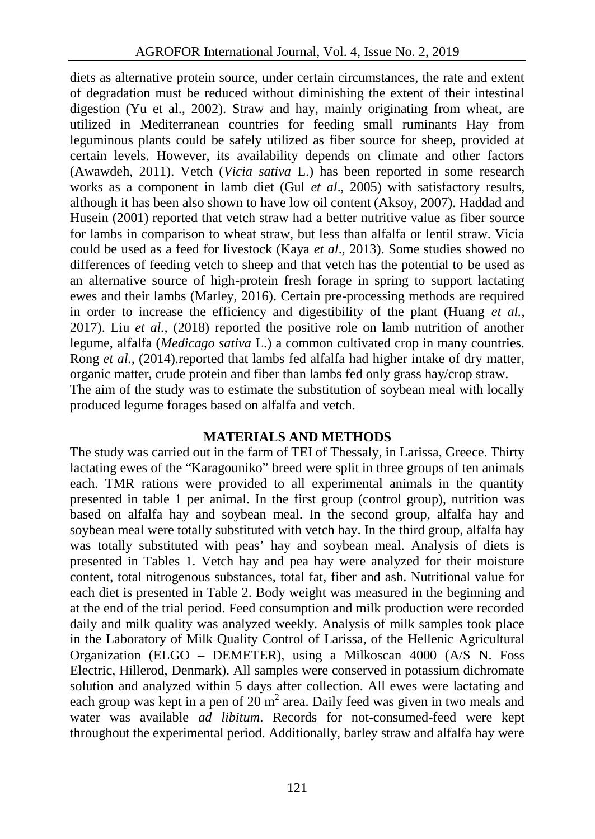diets as alternative protein source, under certain circumstances, the rate and extent of degradation must be reduced without diminishing the extent of their intestinal digestion (Yu et al., 2002). Straw and hay, mainly originating from wheat, are utilized in Mediterranean countries for feeding small ruminants Hay from leguminous plants could be safely utilized as fiber source for sheep, provided at certain levels. However, its availability depends on climate and other factors (Awawdeh, 2011). Vetch (*Vicia sativa* L.) has been reported in some research works as a component in lamb diet (Gul *et al*., 2005) with satisfactory results, although it has been also shown to have low oil content (Aksoy, 2007). Haddad and Husein (2001) reported that vetch straw had a better nutritive value as fiber source for lambs in comparison to wheat straw, but less than alfalfa or lentil straw. Vicia could be used as a feed for livestock (Kaya *et al*., 2013). Some studies showed no differences of feeding vetch to sheep and that vetch has the potential to be used as an alternative source of high-protein fresh forage in spring to support lactating ewes and their lambs (Marley, 2016). Certain pre-processing methods are required in order to increase the efficiency and digestibility of the plant (Huang *et al.*, 2017). Liu *et al.,* (2018) reported the positive role on lamb nutrition of another legume, alfalfa (*Medicago sativa* L.) a common cultivated crop in many countries. Rong *et al.*, (2014).reported that lambs fed alfalfa had higher intake of dry matter, organic matter, crude protein and fiber than lambs fed only grass hay/crop straw. The aim of the study was to estimate the substitution of soybean meal with locally produced legume forages based on alfalfa and vetch.

## **MATERIALS AND METHODS**

The study was carried out in the farm of TEI of Thessaly, in Larissa, Greece. Thirty lactating ewes of the "Karagouniko" breed were split in three groups of ten animals each. TMR rations were provided to all experimental animals in the quantity presented in table 1 per animal. In the first group (control group), nutrition was based on alfalfa hay and soybean meal. In the second group, alfalfa hay and soybean meal were totally substituted with vetch hay. In the third group, alfalfa hay was totally substituted with peas' hay and soybean meal. Analysis of diets is presented in Tables 1. Vetch hay and pea hay were analyzed for their moisture content, total nitrogenous substances, total fat, fiber and ash. Nutritional value for each diet is presented in Table 2. Body weight was measured in the beginning and at the end of the trial period. Feed consumption and milk production were recorded daily and milk quality was analyzed weekly. Analysis of milk samples took place in the Laboratory of Milk Quality Control of Larissa, of the Hellenic Agricultural Organization (ELGO – DEMETER), using a Milkoscan 4000 (A/S N. Foss Electric, Hillerod, Denmark). All samples were conserved in potassium dichromate solution and analyzed within 5 days after collection. All ewes were lactating and each group was kept in a pen of  $20 \text{ m}^2$  area. Daily feed was given in two meals and water was available *ad libitum*. Records for not-consumed-feed were kept throughout the experimental period. Additionally, barley straw and alfalfa hay were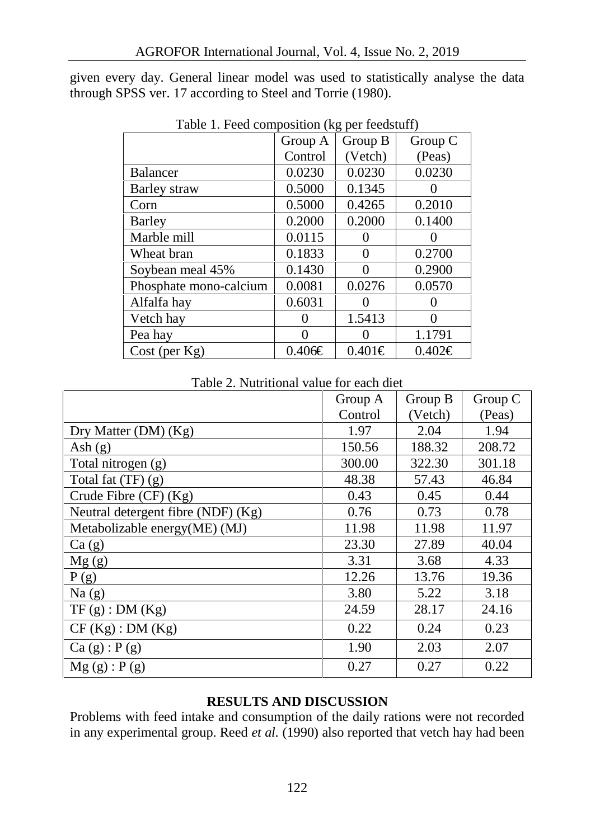given every day. General linear model was used to statistically analyse the data through SPSS ver. 17 according to Steel and Torrie (1980).

|                        | Group A         | Group B<br>Group C |             |
|------------------------|-----------------|--------------------|-------------|
|                        | Control         | (Vetch)            | (Peas)      |
| <b>Balancer</b>        | 0.0230          | 0.0230             | 0.0230      |
| Barley straw           | 0.5000          | 0.1345             |             |
| Corn                   | 0.5000          | 0.4265             | 0.2010      |
| Barley                 | 0.2000          | 0.2000             | 0.1400      |
| Marble mill            | 0.0115          |                    |             |
| Wheat bran             | 0.1833          | $\theta$           | 0.2700      |
| Soybean meal 45%       | 0.1430          |                    | 0.2900      |
| Phosphate mono-calcium | 0.0081          | 0.0276             | 0.0570      |
| Alfalfa hay            | 0.6031          |                    |             |
| Vetch hay              |                 | 1.5413             |             |
| Pea hay                |                 |                    | 1.1791      |
| $Cost$ (per $Kg$ )     | $0.406\epsilon$ | $0.401 \in$        | $0.402 \in$ |

Table 1. Feed composition (kg per feedstuff)

Table 2. Nutritional value for each diet

|                                    | Group A | Group B | Group C |
|------------------------------------|---------|---------|---------|
|                                    | Control | (Vetch) | (Peas)  |
| Dry Matter $(DM)$ $(Kg)$           | 1.97    | 2.04    | 1.94    |
| Ash $(g)$                          | 150.56  | 188.32  | 208.72  |
| Total nitrogen $(g)$               | 300.00  | 322.30  | 301.18  |
| Total fat $(TF)(g)$                | 48.38   | 57.43   | 46.84   |
| Crude Fibre $(CF)$ $(Kg)$          | 0.43    | 0.45    | 0.44    |
| Neutral detergent fibre (NDF) (Kg) | 0.76    | 0.73    | 0.78    |
| Metabolizable energy(ME) (MJ)      | 11.98   | 11.98   | 11.97   |
| Ca(g)                              | 23.30   | 27.89   | 40.04   |
| Mg(g)                              | 3.31    | 3.68    | 4.33    |
| P(g)                               | 12.26   | 13.76   | 19.36   |
| Na(g)                              | 3.80    | 5.22    | 3.18    |
| TF(g) : DM(Kg)                     | 24.59   | 28.17   | 24.16   |
| CF(Kg) : DM(Kg)                    | 0.22    | 0.24    | 0.23    |
| Ca(g): P(g)                        | 1.90    | 2.03    | 2.07    |
| Mg(g): P(g)                        | 0.27    | 0.27    | 0.22    |

# **RESULTS AND DISCUSSION**

Problems with feed intake and consumption of the daily rations were not recorded in any experimental group. Reed *et al.* (1990) also reported that vetch hay had been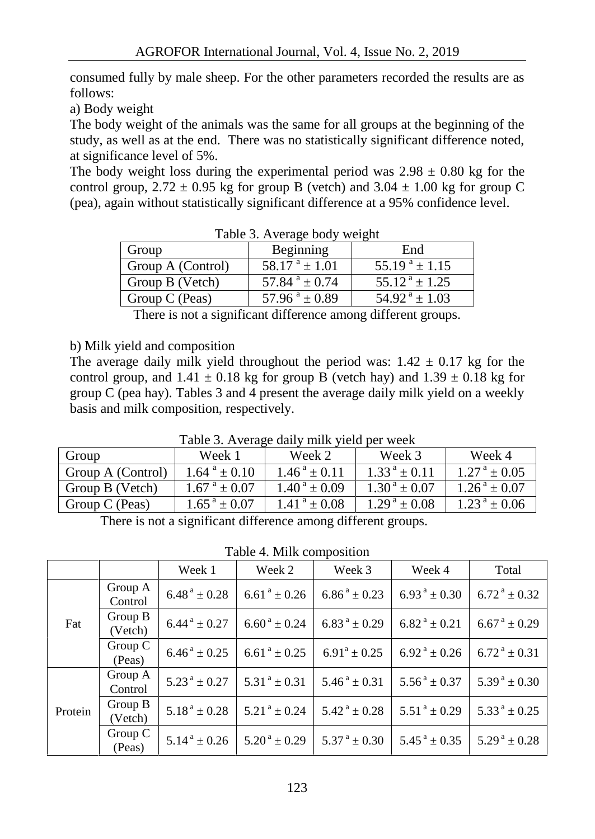consumed fully by male sheep. For the other parameters recorded the results are as follows:

a) Body weight

The body weight of the animals was the same for all groups at the beginning of the study, as well as at the end. There was no statistically significant difference noted, at significance level of 5%.

The body weight loss during the experimental period was  $2.98 \pm 0.80$  kg for the control group,  $2.72 \pm 0.95$  kg for group B (vetch) and  $3.04 \pm 1.00$  kg for group C (pea), again without statistically significant difference at a 95% confidence level.

| $14010 \tots$ . Therefore body weight |                             |                             |  |  |  |
|---------------------------------------|-----------------------------|-----------------------------|--|--|--|
| Group                                 | Beginning                   | End                         |  |  |  |
| Group A (Control)                     | $58.17^{\text{a}} \pm 1.01$ | $55.19^{\text{a}} \pm 1.15$ |  |  |  |
| Group B (Vetch)                       | 57.84 $^{\rm a}$ ± 0.74     | $55.12^{\text{a}} \pm 1.25$ |  |  |  |
| Group C (Peas)                        | 57.96 $^a \pm 0.89$         | $54.92^{\text{a}} \pm 1.03$ |  |  |  |
|                                       |                             |                             |  |  |  |

Table 3. Average body weight

There is not a significant difference among different groups.

#### b) Milk yield and composition

The average daily milk yield throughout the period was:  $1.42 \pm 0.17$  kg for the control group, and  $1.41 \pm 0.18$  kg for group B (vetch hay) and  $1.39 \pm 0.18$  kg for group C (pea hay). Tables 3 and 4 present the average daily milk yield on a weekly basis and milk composition, respectively.

| Tuble 3: Try change daily think yield per week |                             |                             |                            |                            |  |  |  |
|------------------------------------------------|-----------------------------|-----------------------------|----------------------------|----------------------------|--|--|--|
| Group                                          | Week 1                      | Week 2                      | Week 3                     | Week 4                     |  |  |  |
| Group A (Control)                              | $1.64^{\text{a}} \pm 0.10$  | $1.46^{\text{a}} \pm 0.11$  | $1.33^{\text{a}} \pm 0.11$ | $1.27^{\text{a}} \pm 0.05$ |  |  |  |
| Group B (Vetch)                                | $1.67^{\text{ a}} \pm 0.07$ | $1.40^{\text{a}} \pm 0.09$  | $1.30^{\text{a}} \pm 0.07$ | $1.26^{\text{a}} \pm 0.07$ |  |  |  |
| Group C (Peas)                                 | $1.65^{\text{ a}} \pm 0.07$ | $1.41^{\text{ a}} \pm 0.08$ | $1.29^{\text{a}} \pm 0.08$ | $1.23^{\text{a}} \pm 0.06$ |  |  |  |

Table 3. Average daily milk yield per week

There is not a significant difference among different groups.

Table 4. Milk composition

|         |                    | Week 1                      | Week 2                      | Week 3                      | Week 4                                  | Total                                 |
|---------|--------------------|-----------------------------|-----------------------------|-----------------------------|-----------------------------------------|---------------------------------------|
|         | Group A<br>Control | $6.48^{\text{ a}} \pm 0.28$ | $6.61^{\text{ a}} \pm 0.26$ | $6.86^{\text{a}} \pm 0.23$  | $6.93^{\text{a}} \pm 0.30$              | $6.72^{\text{a}} \pm 0.32^{\text{c}}$ |
| Fat     | Group B<br>(Vetch) | $6.44^{\text{ a}} \pm 0.27$ | $6.60^{\text{ a}} \pm 0.24$ | $6.83^{\text{a}} \pm 0.29$  | $6.82^{\text{a}} \pm 0.21$              | $6.67^{\text{ a}} \pm 0.29$           |
|         | Group C<br>(Peas)  | $6.46^{\text{ a}} \pm 0.25$ | $6.61^{\text{ a}} \pm 0.25$ | $6.91^a \pm 0.25$           | $6.92^{\text{a}} \pm 0.26$              | $6.72^{\text{a}} \pm 0.31$            |
|         | Group A<br>Control | $5.23^{\text{a}} \pm 0.27$  | $5.31^{\text{a}} \pm 0.31$  | $5.46^{\text{a}} \pm 0.31$  | $5.56^{\text{a}} \pm 0.37$              | $5.39^{\text{ a}} \pm 0.30$           |
| Protein | Group B<br>(Vetch) | $5.18^{\text{a}} \pm 0.28$  | $5.21^{\text{a}} \pm 0.24$  | $5.42^{\text{a}} \pm 0.28$  | $5.51^{\text{a}} \pm 0.29$              | $5.33^{\text{a}} \pm 0.25$            |
|         | Group C<br>(Peas)  | $5.14^{\text{a}} \pm 0.26$  | $5.20^{\text{ a}} \pm 0.29$ | $5.37^{\text{ a}} \pm 0.30$ | $5.45^{\text{ a}} \pm 0.35^{\text{ } }$ | $5.29^{\text{a}} \pm 0.28$            |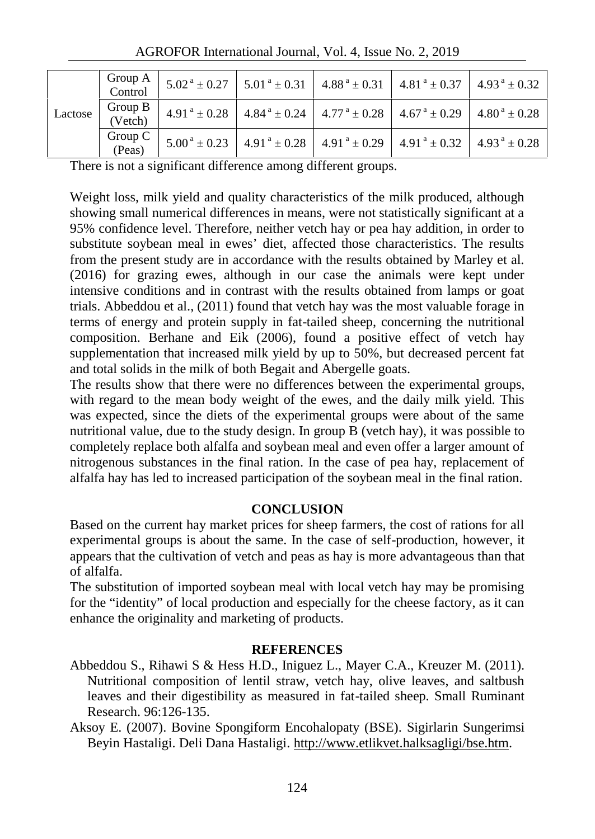|         | Group A $\vert$<br>Control | $\left[5.02^{\text{ a}}\pm0.27\right]$ 5.01 $^{\text{a}}\pm0.31$ $\left[4.88^{\text{ a}}\pm0.31\right]$ 4.81 $^{\text{a}}\pm0.37$ $\left[4.93^{\text{ a}}\pm0.32\right]$ |  |  |
|---------|----------------------------|--------------------------------------------------------------------------------------------------------------------------------------------------------------------------|--|--|
| Lactose | Group B<br>(Vetch)         | $4.91^{\text{a}} \pm 0.28$ $4.84^{\text{a}} \pm 0.24$ $4.77^{\text{a}} \pm 0.28$ $4.67^{\text{a}} \pm 0.29$ $4.80^{\text{a}} \pm 0.28$                                   |  |  |
|         | Group C<br>(Peas)          | $5.00^{\text{ a}} \pm 0.23$   4.91 $^{\text{a}} \pm 0.28$   4.91 $^{\text{a}} \pm 0.29$   4.91 $^{\text{a}} \pm 0.32$   4.93 $^{\text{a}} \pm 0.28$                      |  |  |

AGROFOR International Journal, Vol. 4, Issue No. 2, 2019

There is not a significant difference among different groups.

Weight loss, milk yield and quality characteristics of the milk produced, although showing small numerical differences in means, were not statistically significant at a 95% confidence level. Therefore, neither vetch hay or pea hay addition, in order to substitute soybean meal in ewes' diet, affected those characteristics. The results from the present study are in accordance with the results obtained by Marley et al. (2016) for grazing ewes, although in our case the animals were kept under intensive conditions and in contrast with the results obtained from lamps or goat trials. Abbeddou et al., (2011) found that vetch hay was the most valuable forage in terms of energy and protein supply in fat-tailed sheep, concerning the nutritional composition. Berhane and Eik (2006), found a positive effect of vetch hay supplementation that increased milk yield by up to 50%, but decreased percent fat and total solids in the milk of both Begait and Abergelle goats.

The results show that there were no differences between the experimental groups, with regard to the mean body weight of the ewes, and the daily milk yield. This was expected, since the diets of the experimental groups were about of the same nutritional value, due to the study design. In group B (vetch hay), it was possible to completely replace both alfalfa and soybean meal and even offer a larger amount of nitrogenous substances in the final ration. In the case of pea hay, replacement of alfalfa hay has led to increased participation of the soybean meal in the final ration.

## **CONCLUSION**

Based on the current hay market prices for sheep farmers, the cost of rations for all experimental groups is about the same. In the case of self-production, however, it appears that the cultivation of vetch and peas as hay is more advantageous than that of alfalfa.

The substitution of imported soybean meal with local vetch hay may be promising for the "identity" of local production and especially for the cheese factory, as it can enhance the originality and marketing of products.

## **REFERENCES**

Abbeddou S., Rihawi S & Hess H.D., Iniguez L., Mayer C.A., Kreuzer M. (2011). Nutritional composition of lentil straw, vetch hay, olive leaves, and saltbush leaves and their digestibility as measured in fat-tailed sheep. Small Ruminant Research. 96:126-135.

Aksoy E. (2007). Bovine Spongiform Encohalopaty (BSE). Sigirlarin Sungerimsi Beyin Hastaligi. Deli Dana Hastaligi. http://www.etlikvet.halksagligi/bse.htm.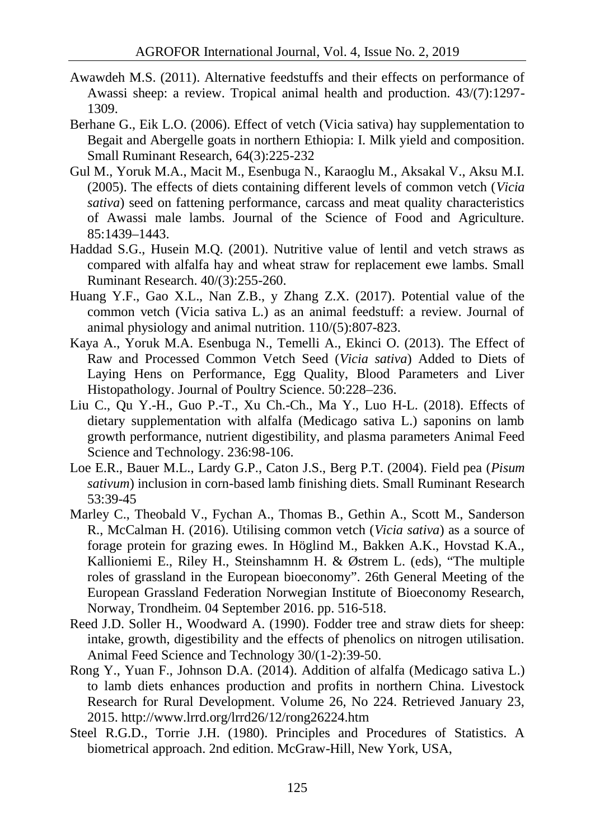- Awawdeh M.S. (2011). Alternative feedstuffs and their effects on performance of Awassi sheep: a review. Tropical animal health and production. 43/(7):1297- 1309.
- Berhane G., Eik L.O. (2006). Effect of vetch (Vicia sativa) hay supplementation to Begait and Abergelle goats in northern Ethiopia: I. Milk yield and composition. Small Ruminant Research, 64(3):225-232
- Gul M., Yoruk M.A., Macit M., Esenbuga N., Karaoglu M., Aksakal V., Aksu M.I. (2005). The effects of diets containing different levels of common vetch (*Vicia sativa*) seed on fattening performance, carcass and meat quality characteristics of Awassi male lambs. Journal of the Science of Food and Agriculture. 85:1439–1443.
- Haddad S.G., Husein M.Q. (2001). Nutritive value of lentil and vetch straws as compared with alfalfa hay and wheat straw for replacement ewe lambs. Small Ruminant Research. 40/(3):255-260.
- Huang Y.F., Gao X.L., Nan Z.B., y Zhang Z.X. (2017). Potential value of the common vetch (Vicia sativa L.) as an animal feedstuff: a review. Journal of animal physiology and animal nutrition. 110/(5):807-823.
- Kaya A., Yoruk M.A. Esenbuga N., Temelli A., Ekinci O. (2013). The Effect of Raw and Processed Common Vetch Seed (*Vicia sativa*) Added to Diets of Laying Hens on Performance, Egg Quality, Blood Parameters and Liver Histopathology. Journal of Poultry Science. 50:228–236.
- Liu C., Qu Y.-H., Guo P.-T., Xu Ch.-Ch., Ma Y., Luo H-L.  $(2018)$ . Effects of dietary supplementation with alfalfa (Medicago sativa L.) saponins on lamb growth performance, nutrient digestibility, and plasma parameters Animal Feed Science and Technology. 236:98-106.
- Loe E.R., Bauer M.L., Lardy G.P., Caton J.S., Berg P.T. (2004). Field pea (*Pisum sativum*) inclusion in corn-based lamb finishing diets. Small Ruminant Research 53:39-45
- Marley C., Theobald V., Fychan A., Thomas B., Gethin A., Scott M., Sanderson R., McCalman H. (2016). Utilising common vetch (*Vicia sativa*) as a source of forage protein for grazing ewes. In Höglind M., Bakken A.K., Hovstad K.A., Kallioniemi E., Riley H., Steinshamnm H. & Østrem L. (eds), "The multiple roles of grassland in the European bioeconomy". 26th General Meeting of the European Grassland Federation Norwegian Institute of Bioeconomy Research, Norway, Trondheim. 04 September 2016. pp. 516-518.
- Reed J.D. Soller H., Woodward A. (1990). Fodder tree and straw diets for sheep: intake, growth, digestibility and the effects of phenolics on nitrogen utilisation. Animal Feed Science and Technology 30/(1-2):39-50.
- Rong Y., Yuan F., Johnson D.A. (2014). Addition of alfalfa (Medicago sativa L.) to lamb diets enhances production and profits in northern China. Livestock Research for Rural Development. Volume 26, No 224. Retrieved January 23, 2015. http://www.lrrd.org/lrrd26/12/rong26224.htm
- Steel R.G.D., Torrie J.H. (1980). Principles and Procedures of Statistics. A biometrical approach. 2nd edition. McGraw-Hill, New York, USA,